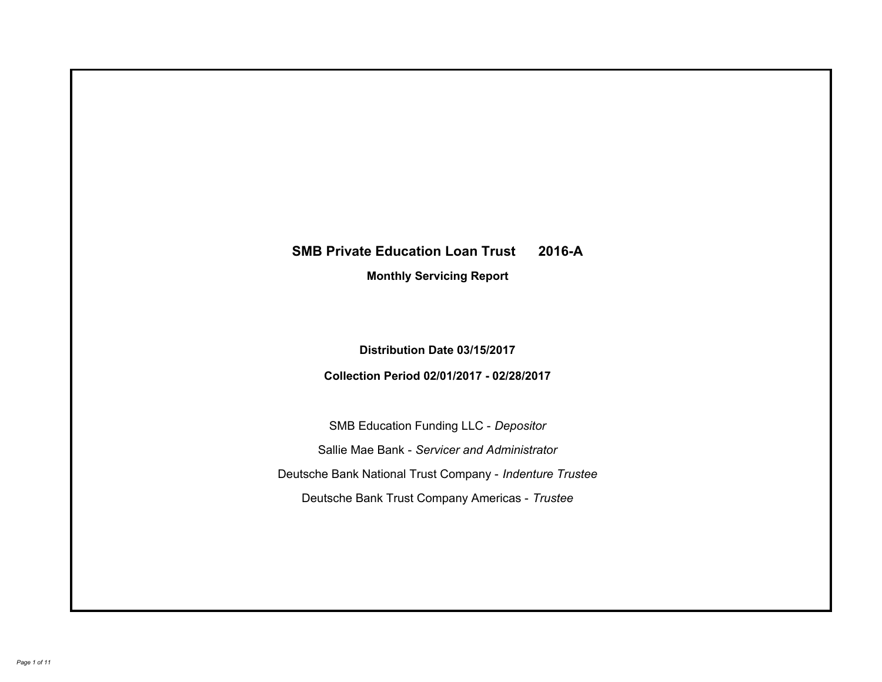# **SMB Private Education Loan Trust 2016-A Monthly Servicing Report**

**Distribution Date 03/15/2017**

**Collection Period 02/01/2017 - 02/28/2017**

SMB Education Funding LLC - *Depositor* Sallie Mae Bank - *Servicer and Administrator* Deutsche Bank National Trust Company - *Indenture Trustee* Deutsche Bank Trust Company Americas - *Trustee*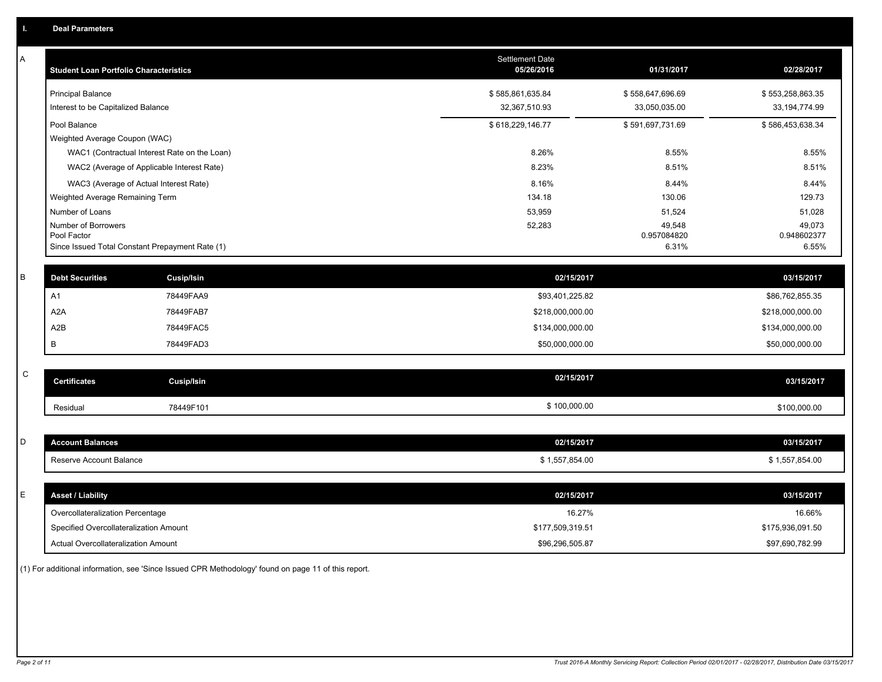| Α           | <b>Student Loan Portfolio Characteristics</b>   |                                              | <b>Settlement Date</b><br>05/26/2016 | 01/31/2017            | 02/28/2017            |
|-------------|-------------------------------------------------|----------------------------------------------|--------------------------------------|-----------------------|-----------------------|
|             | <b>Principal Balance</b>                        |                                              | \$585,861,635.84                     | \$558,647,696.69      | \$553,258,863.35      |
|             | Interest to be Capitalized Balance              |                                              | 32,367,510.93                        | 33,050,035.00         | 33, 194, 774.99       |
|             | Pool Balance                                    |                                              | \$618,229,146.77                     | \$591,697,731.69      | \$586,453,638.34      |
|             | Weighted Average Coupon (WAC)                   |                                              |                                      |                       |                       |
|             |                                                 | WAC1 (Contractual Interest Rate on the Loan) | 8.26%                                | 8.55%                 | 8.55%                 |
|             |                                                 | WAC2 (Average of Applicable Interest Rate)   | 8.23%                                | 8.51%                 | 8.51%                 |
|             | WAC3 (Average of Actual Interest Rate)          |                                              | 8.16%                                | 8.44%                 | 8.44%                 |
|             | Weighted Average Remaining Term                 |                                              | 134.18                               | 130.06                | 129.73                |
|             | Number of Loans                                 |                                              | 53,959                               | 51,524                | 51,028                |
|             | Number of Borrowers<br>Pool Factor              |                                              | 52,283                               | 49,548<br>0.957084820 | 49,073<br>0.948602377 |
|             | Since Issued Total Constant Prepayment Rate (1) |                                              |                                      | 6.31%                 | 6.55%                 |
|             |                                                 |                                              |                                      |                       |                       |
| В           | <b>Debt Securities</b>                          | <b>Cusip/Isin</b>                            | 02/15/2017                           |                       | 03/15/2017            |
|             | A <sub>1</sub>                                  | 78449FAA9                                    | \$93,401,225.82                      |                       | \$86,762,855.35       |
|             | A <sub>2</sub> A                                | 78449FAB7                                    | \$218,000,000.00                     |                       | \$218,000,000.00      |
|             | A2B                                             | 78449FAC5                                    | \$134,000,000.00                     |                       | \$134,000,000.00      |
|             | B                                               | 78449FAD3                                    | \$50,000,000.00                      |                       | \$50,000,000.00       |
|             |                                                 |                                              |                                      |                       |                       |
| $\mathbf C$ | <b>Certificates</b>                             | Cusip/Isin                                   | 02/15/2017                           |                       | 03/15/2017            |
|             | Residual                                        | 78449F101                                    | \$100,000.00                         |                       | \$100,000.00          |
|             |                                                 |                                              |                                      |                       |                       |
| D           | <b>Account Balances</b>                         |                                              | 02/15/2017                           |                       | 03/15/2017            |
|             | Reserve Account Balance                         |                                              | \$1,557,854.00                       |                       | \$1,557,854.00        |
|             |                                                 |                                              |                                      |                       |                       |
| E           | <b>Asset / Liability</b>                        |                                              | 02/15/2017                           |                       | 03/15/2017            |
|             | Overcollateralization Percentage                |                                              | 16.27%                               |                       | 16.66%                |
|             | Specified Overcollateralization Amount          |                                              | \$177,509,319.51                     |                       | \$175,936,091.50      |
|             | <b>Actual Overcollateralization Amount</b>      |                                              | \$96,296,505.87                      |                       | \$97,690,782.99       |

(1) For additional information, see 'Since Issued CPR Methodology' found on page 11 of this report.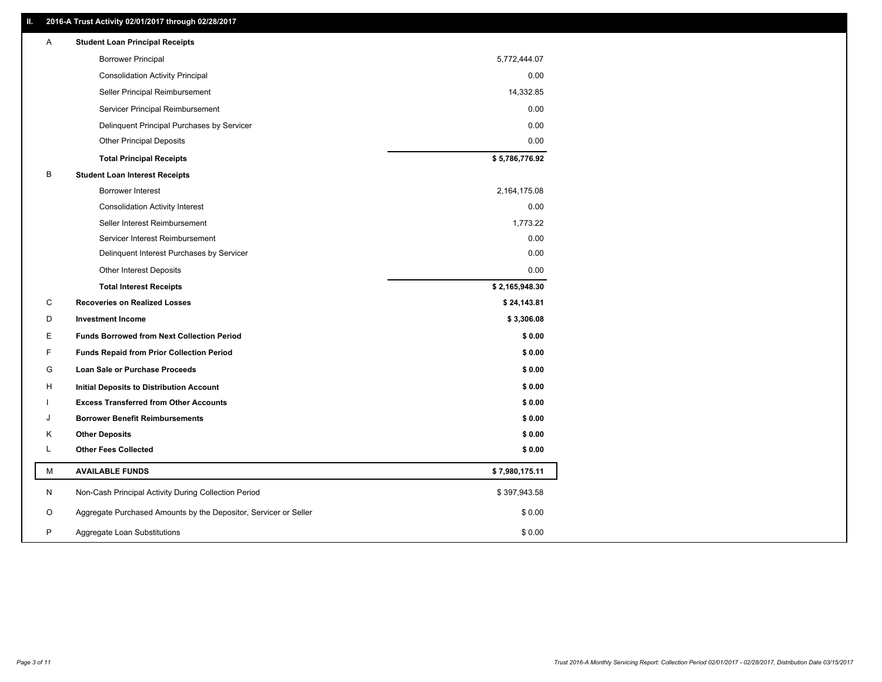### **II. 2016-A Trust Activity 02/01/2017 through 02/28/2017**

| Α | <b>Student Loan Principal Receipts</b>                           |                |  |
|---|------------------------------------------------------------------|----------------|--|
|   | <b>Borrower Principal</b>                                        | 5,772,444.07   |  |
|   | <b>Consolidation Activity Principal</b>                          | 0.00           |  |
|   | Seller Principal Reimbursement                                   | 14,332.85      |  |
|   | Servicer Principal Reimbursement                                 | 0.00           |  |
|   | Delinquent Principal Purchases by Servicer                       | 0.00           |  |
|   | <b>Other Principal Deposits</b>                                  | 0.00           |  |
|   | <b>Total Principal Receipts</b>                                  | \$5,786,776.92 |  |
| В | <b>Student Loan Interest Receipts</b>                            |                |  |
|   | Borrower Interest                                                | 2,164,175.08   |  |
|   | <b>Consolidation Activity Interest</b>                           | 0.00           |  |
|   | Seller Interest Reimbursement                                    | 1,773.22       |  |
|   | Servicer Interest Reimbursement                                  | 0.00           |  |
|   | Delinquent Interest Purchases by Servicer                        | 0.00           |  |
|   | <b>Other Interest Deposits</b>                                   | 0.00           |  |
|   | <b>Total Interest Receipts</b>                                   | \$2,165,948.30 |  |
| C | <b>Recoveries on Realized Losses</b>                             | \$24,143.81    |  |
| D | <b>Investment Income</b>                                         | \$3,306.08     |  |
| Е | <b>Funds Borrowed from Next Collection Period</b>                | \$0.00         |  |
| F | <b>Funds Repaid from Prior Collection Period</b>                 | \$0.00         |  |
| G | Loan Sale or Purchase Proceeds                                   | \$0.00         |  |
| н | Initial Deposits to Distribution Account                         | \$0.00         |  |
|   | <b>Excess Transferred from Other Accounts</b>                    | \$0.00         |  |
| J | <b>Borrower Benefit Reimbursements</b>                           | \$0.00         |  |
| Κ | <b>Other Deposits</b>                                            | \$0.00         |  |
| Г | <b>Other Fees Collected</b>                                      | \$0.00         |  |
| М | <b>AVAILABLE FUNDS</b>                                           | \$7,980,175.11 |  |
| N | Non-Cash Principal Activity During Collection Period             | \$397,943.58   |  |
| O | Aggregate Purchased Amounts by the Depositor, Servicer or Seller | \$0.00         |  |
| P | Aggregate Loan Substitutions                                     | \$0.00         |  |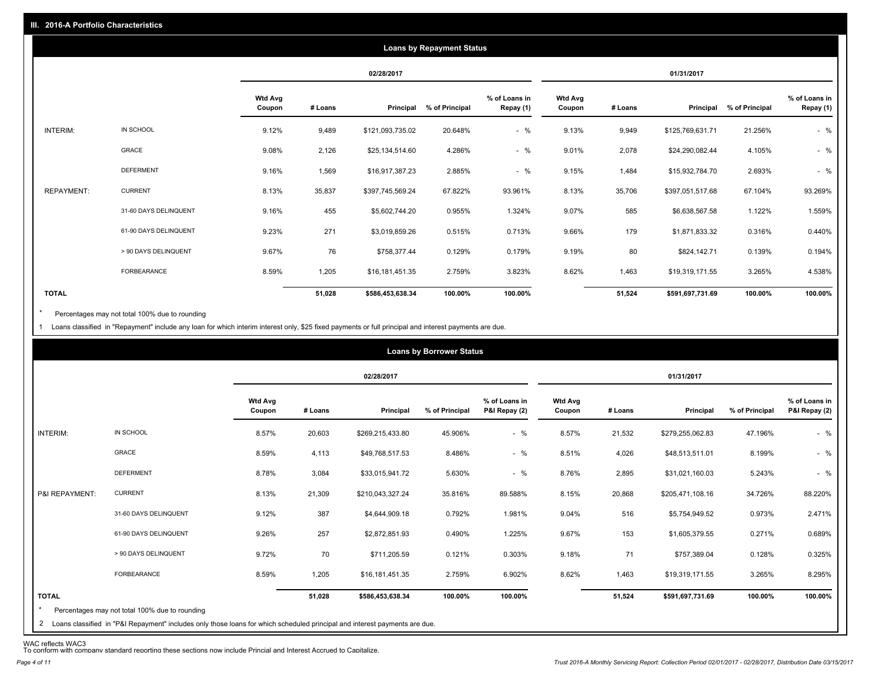|                   |                       |                          |         |                  | <b>Loans by Repayment Status</b> |                            |                          |         |                  |                |                            |
|-------------------|-----------------------|--------------------------|---------|------------------|----------------------------------|----------------------------|--------------------------|---------|------------------|----------------|----------------------------|
|                   |                       |                          |         | 02/28/2017       |                                  |                            |                          |         | 01/31/2017       |                |                            |
|                   |                       | <b>Wtd Avg</b><br>Coupon | # Loans | Principal        | % of Principal                   | % of Loans in<br>Repay (1) | <b>Wtd Avg</b><br>Coupon | # Loans | Principal        | % of Principal | % of Loans in<br>Repay (1) |
| INTERIM:          | IN SCHOOL             | 9.12%                    | 9,489   | \$121,093,735.02 | 20.648%                          | $-$ %                      | 9.13%                    | 9,949   | \$125,769,631.71 | 21.256%        | $-$ %                      |
|                   | GRACE                 | 9.08%                    | 2,126   | \$25,134,514.60  | 4.286%                           | $-$ %                      | 9.01%                    | 2,078   | \$24,290,082.44  | 4.105%         | $-$ %                      |
|                   | <b>DEFERMENT</b>      | 9.16%                    | 1,569   | \$16,917,387.23  | 2.885%                           | $-$ %                      | 9.15%                    | 1,484   | \$15,932,784.70  | 2.693%         | $-$ %                      |
| <b>REPAYMENT:</b> | <b>CURRENT</b>        | 8.13%                    | 35,837  | \$397,745,569.24 | 67.822%                          | 93.961%                    | 8.13%                    | 35,706  | \$397,051,517.68 | 67.104%        | 93.269%                    |
|                   | 31-60 DAYS DELINQUENT | 9.16%                    | 455     | \$5,602,744.20   | 0.955%                           | 1.324%                     | 9.07%                    | 585     | \$6,638,567.58   | 1.122%         | 1.559%                     |
|                   | 61-90 DAYS DELINQUENT | 9.23%                    | 271     | \$3,019,859.26   | 0.515%                           | 0.713%                     | 9.66%                    | 179     | \$1,871,833.32   | 0.316%         | 0.440%                     |
|                   | > 90 DAYS DELINQUENT  | 9.67%                    | 76      | \$758,377.44     | 0.129%                           | 0.179%                     | 9.19%                    | 80      | \$824,142.71     | 0.139%         | 0.194%                     |
|                   | <b>FORBEARANCE</b>    | 8.59%                    | 1,205   | \$16,181,451.35  | 2.759%                           | 3.823%                     | 8.62%                    | 1,463   | \$19,319,171.55  | 3.265%         | 4.538%                     |
| <b>TOTAL</b>      |                       |                          | 51,028  | \$586,453,638.34 | 100.00%                          | 100.00%                    |                          | 51,524  | \$591,697,731.69 | 100.00%        | 100.00%                    |

Percentages may not total 100% due to rounding \*

1 Loans classified in "Repayment" include any loan for which interim interest only, \$25 fixed payments or full principal and interest payments are due.

|                |                       |                          |         | 02/28/2017       |                |                                |                   |         | 01/31/2017       |                                                  |         |
|----------------|-----------------------|--------------------------|---------|------------------|----------------|--------------------------------|-------------------|---------|------------------|--------------------------------------------------|---------|
|                |                       | <b>Wtd Avg</b><br>Coupon | # Loans | Principal        | % of Principal | % of Loans in<br>P&I Repay (2) | Wtd Avg<br>Coupon | # Loans | Principal        | % of Loans in<br>% of Principal<br>P&I Repay (2) |         |
| INTERIM:       | IN SCHOOL             | 8.57%                    | 20,603  | \$269,215,433.80 | 45.906%        | $-$ %                          | 8.57%             | 21,532  | \$279,255,062.83 | 47.196%                                          | $-$ %   |
|                | <b>GRACE</b>          | 8.59%                    | 4,113   | \$49,768,517.53  | 8.486%         | $-$ %                          | 8.51%             | 4,026   | \$48,513,511.01  | 8.199%                                           | $-$ %   |
|                | <b>DEFERMENT</b>      | 8.78%                    | 3,084   | \$33,015,941.72  | 5.630%         | $-$ %                          | 8.76%             | 2,895   | \$31,021,160.03  | 5.243%                                           | $-$ %   |
| P&I REPAYMENT: | <b>CURRENT</b>        | 8.13%                    | 21,309  | \$210,043,327.24 | 35.816%        | 89.588%                        | 8.15%             | 20,868  | \$205,471,108.16 | 34.726%                                          | 88.220% |
|                | 31-60 DAYS DELINQUENT | 9.12%                    | 387     | \$4,644,909.18   | 0.792%         | 1.981%                         | 9.04%             | 516     | \$5,754,949.52   | 0.973%                                           | 2.471%  |
|                | 61-90 DAYS DELINQUENT | 9.26%                    | 257     | \$2,872,851.93   | 0.490%         | 1.225%                         | 9.67%             | 153     | \$1,605,379.55   | 0.271%                                           | 0.689%  |
|                | > 90 DAYS DELINQUENT  | 9.72%                    | 70      | \$711,205.59     | 0.121%         | 0.303%                         | 9.18%             | 71      | \$757,389.04     | 0.128%                                           | 0.325%  |
|                | FORBEARANCE           | 8.59%                    | 1,205   | \$16,181,451.35  | 2.759%         | 6.902%                         | 8.62%             | 1,463   | \$19,319,171.55  | 3.265%                                           | 8.295%  |
| <b>TOTAL</b>   |                       |                          | 51,028  | \$586,453,638.34 | 100.00%        | 100.00%                        |                   | 51,524  | \$591,697,731.69 | 100.00%                                          | 100.00% |

WAC reflects WAC3 To conform with company standard reporting these sections now include Princial and Interest Accrued to Capitalize.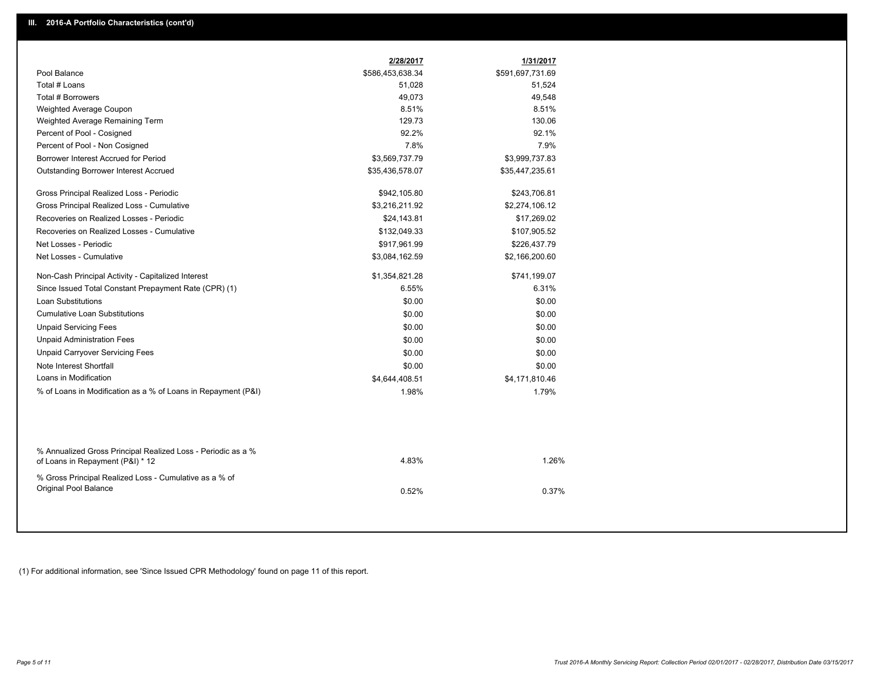|                                                                                                  | 2/28/2017        | 1/31/2017        |
|--------------------------------------------------------------------------------------------------|------------------|------------------|
| Pool Balance                                                                                     | \$586,453,638.34 | \$591,697,731.69 |
| Total # Loans                                                                                    | 51,028           | 51,524           |
| Total # Borrowers                                                                                | 49,073           | 49,548           |
| Weighted Average Coupon                                                                          | 8.51%            | 8.51%            |
| Weighted Average Remaining Term                                                                  | 129.73           | 130.06           |
| Percent of Pool - Cosigned                                                                       | 92.2%            | 92.1%            |
| Percent of Pool - Non Cosigned                                                                   | 7.8%             | 7.9%             |
| Borrower Interest Accrued for Period                                                             | \$3,569,737.79   | \$3,999,737.83   |
| Outstanding Borrower Interest Accrued                                                            | \$35,436,578.07  | \$35,447,235.61  |
| Gross Principal Realized Loss - Periodic                                                         | \$942,105.80     | \$243,706.81     |
| Gross Principal Realized Loss - Cumulative                                                       | \$3,216,211.92   | \$2,274,106.12   |
| Recoveries on Realized Losses - Periodic                                                         | \$24,143.81      | \$17,269.02      |
| Recoveries on Realized Losses - Cumulative                                                       | \$132,049.33     | \$107,905.52     |
| Net Losses - Periodic                                                                            | \$917,961.99     | \$226,437.79     |
| Net Losses - Cumulative                                                                          | \$3,084,162.59   | \$2,166,200.60   |
| Non-Cash Principal Activity - Capitalized Interest                                               | \$1,354,821.28   | \$741,199.07     |
| Since Issued Total Constant Prepayment Rate (CPR) (1)                                            | 6.55%            | 6.31%            |
| <b>Loan Substitutions</b>                                                                        | \$0.00           | \$0.00           |
| <b>Cumulative Loan Substitutions</b>                                                             | \$0.00           | \$0.00           |
| <b>Unpaid Servicing Fees</b>                                                                     | \$0.00           | \$0.00           |
| <b>Unpaid Administration Fees</b>                                                                | \$0.00           | \$0.00           |
| <b>Unpaid Carryover Servicing Fees</b>                                                           | \$0.00           | \$0.00           |
| Note Interest Shortfall                                                                          | \$0.00           | \$0.00           |
| Loans in Modification                                                                            | \$4,644,408.51   | \$4,171,810.46   |
| % of Loans in Modification as a % of Loans in Repayment (P&I)                                    | 1.98%            | 1.79%            |
|                                                                                                  |                  |                  |
| % Annualized Gross Principal Realized Loss - Periodic as a %<br>of Loans in Repayment (P&I) * 12 | 4.83%            | 1.26%            |
| % Gross Principal Realized Loss - Cumulative as a % of<br>Original Pool Balance                  | 0.52%            | 0.37%            |

(1) For additional information, see 'Since Issued CPR Methodology' found on page 11 of this report.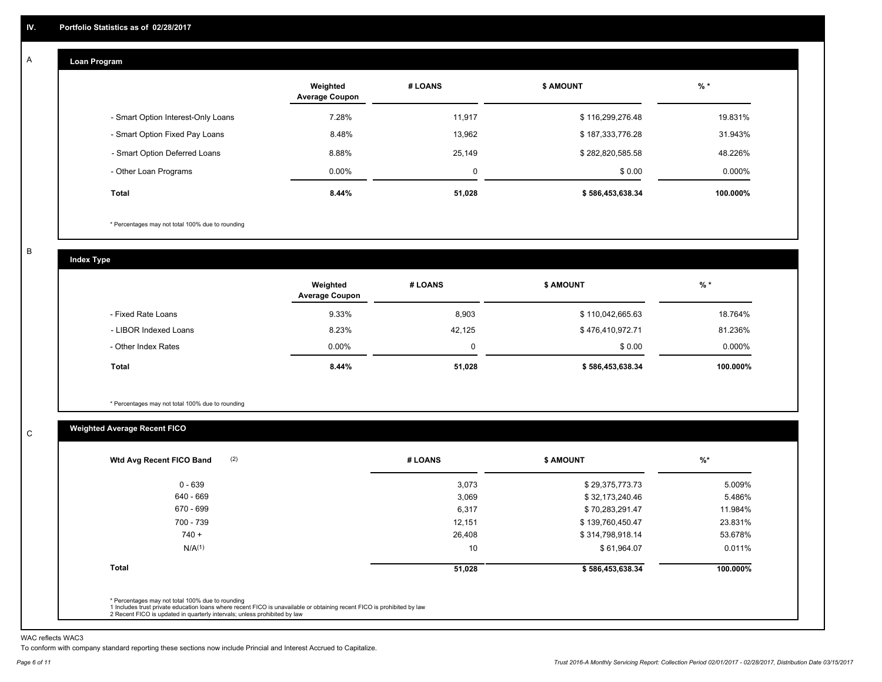#### **Loan Program**  A

|                                    | Weighted<br><b>Average Coupon</b> | # LOANS | <b>\$ AMOUNT</b> | $%$ *     |
|------------------------------------|-----------------------------------|---------|------------------|-----------|
| - Smart Option Interest-Only Loans | 7.28%                             | 11.917  | \$116,299,276.48 | 19.831%   |
| - Smart Option Fixed Pay Loans     | 8.48%                             | 13.962  | \$187,333,776.28 | 31.943%   |
| - Smart Option Deferred Loans      | 8.88%                             | 25.149  | \$282,820,585.58 | 48.226%   |
| - Other Loan Programs              | $0.00\%$                          | 0       | \$0.00           | $0.000\%$ |
| Total                              | 8.44%                             | 51,028  | \$586,453,638.34 | 100.000%  |

\* Percentages may not total 100% due to rounding

B

C

**Index Type**

|                       | Weighted<br><b>Average Coupon</b> | # LOANS | <b>S AMOUNT</b>  | % *       |
|-----------------------|-----------------------------------|---------|------------------|-----------|
| - Fixed Rate Loans    | 9.33%                             | 8,903   | \$110,042,665.63 | 18.764%   |
| - LIBOR Indexed Loans | 8.23%                             | 42.125  | \$476,410,972.71 | 81.236%   |
| - Other Index Rates   | $0.00\%$                          | 0       | \$0.00           | $0.000\%$ |
| Total                 | 8.44%                             | 51,028  | \$586,453,638.34 | 100.000%  |

\* Percentages may not total 100% due to rounding

## **Weighted Average Recent FICO**

| # LOANS | <b>\$ AMOUNT</b> | $%$ *    |
|---------|------------------|----------|
| 3,073   | \$29,375,773.73  | 5.009%   |
| 3,069   | \$32,173,240.46  | 5.486%   |
| 6,317   | \$70,283,291.47  | 11.984%  |
| 12,151  | \$139,760,450.47 | 23.831%  |
| 26,408  | \$314,798,918.14 | 53.678%  |
| 10      | \$61,964.07      | 0.011%   |
| 51,028  | \$586,453,638.34 | 100.000% |
|         |                  |          |

WAC reflects WAC3

To conform with company standard reporting these sections now include Princial and Interest Accrued to Capitalize.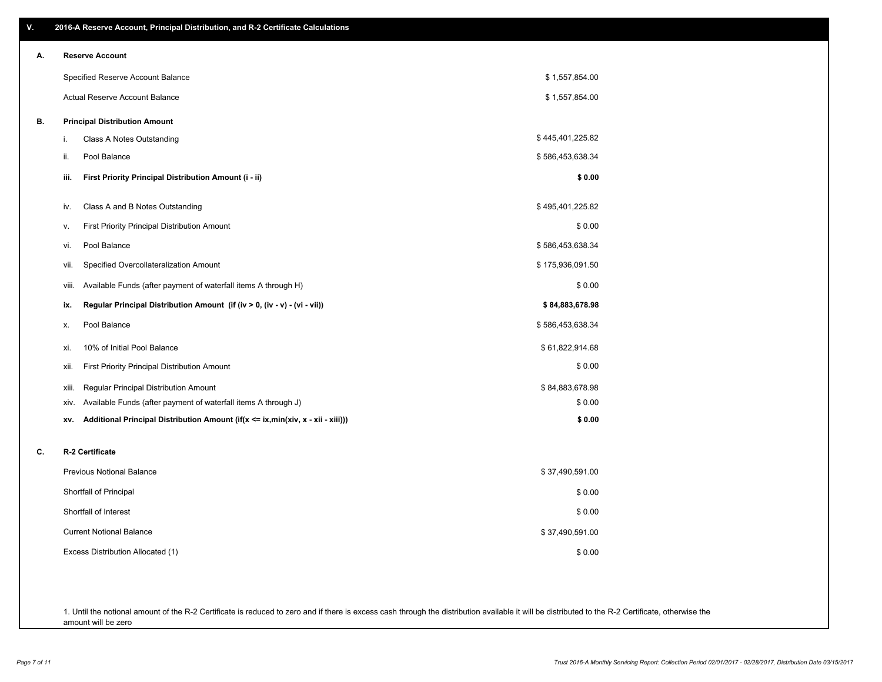| ۷. | 2016-A Reserve Account, Principal Distribution, and R-2 Certificate Calculations       |                  |
|----|----------------------------------------------------------------------------------------|------------------|
| А. | <b>Reserve Account</b>                                                                 |                  |
|    | Specified Reserve Account Balance                                                      | \$1,557,854.00   |
|    | <b>Actual Reserve Account Balance</b>                                                  | \$1,557,854.00   |
| В. | <b>Principal Distribution Amount</b>                                                   |                  |
|    | Class A Notes Outstanding<br>i.                                                        | \$445,401,225.82 |
|    | Pool Balance<br>ii.                                                                    | \$586,453,638.34 |
|    | iii.<br>First Priority Principal Distribution Amount (i - ii)                          | \$0.00           |
|    | Class A and B Notes Outstanding<br>iv.                                                 | \$495,401,225.82 |
|    | <b>First Priority Principal Distribution Amount</b><br>۷.                              | \$0.00           |
|    | Pool Balance<br>vi.                                                                    | \$586,453,638.34 |
|    | Specified Overcollateralization Amount<br>vii.                                         | \$175,936,091.50 |
|    | Available Funds (after payment of waterfall items A through H)<br>viii.                | \$0.00           |
|    | Regular Principal Distribution Amount (if (iv > 0, (iv - v) - (vi - vii))<br>ix.       | \$84,883,678.98  |
|    | Pool Balance<br>Х.                                                                     | \$586,453,638.34 |
|    | 10% of Initial Pool Balance<br>xi.                                                     | \$61,822,914.68  |
|    | First Priority Principal Distribution Amount<br>xii.                                   | \$0.00           |
|    | Regular Principal Distribution Amount<br>xiii.                                         | \$84,883,678.98  |
|    | Available Funds (after payment of waterfall items A through J)<br>XIV.                 | \$0.00           |
|    | Additional Principal Distribution Amount (if(x <= ix,min(xiv, x - xii - xiii)))<br>XV. | \$0.00           |
| C. | R-2 Certificate                                                                        |                  |
|    | <b>Previous Notional Balance</b>                                                       | \$37,490,591.00  |
|    | Shortfall of Principal                                                                 | \$0.00           |
|    | Shortfall of Interest                                                                  | \$0.00           |
|    | <b>Current Notional Balance</b>                                                        | \$37,490,591.00  |
|    | Excess Distribution Allocated (1)                                                      | \$0.00           |
|    |                                                                                        |                  |
|    |                                                                                        |                  |

1. Until the notional amount of the R-2 Certificate is reduced to zero and if there is excess cash through the distribution available it will be distributed to the R-2 Certificate, otherwise the amount will be zero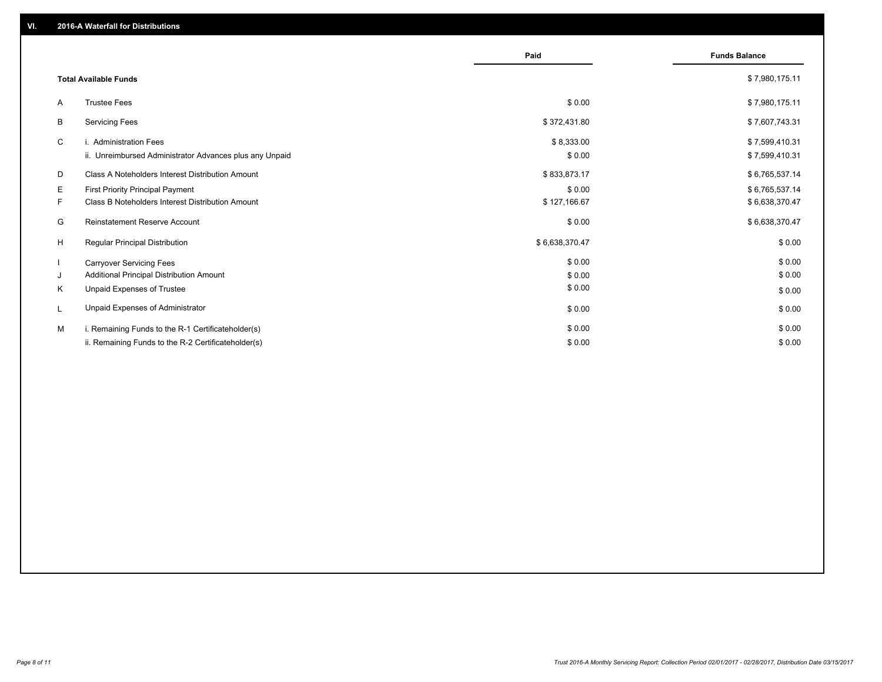|    |                                                         | Paid           | <b>Funds Balance</b> |
|----|---------------------------------------------------------|----------------|----------------------|
|    |                                                         |                |                      |
|    | <b>Total Available Funds</b>                            |                | \$7,980,175.11       |
| A  | <b>Trustee Fees</b>                                     | \$0.00         | \$7,980,175.11       |
| B  | <b>Servicing Fees</b>                                   | \$372,431.80   | \$7,607,743.31       |
| C  | i. Administration Fees                                  | \$8,333.00     | \$7,599,410.31       |
|    | ii. Unreimbursed Administrator Advances plus any Unpaid | \$0.00         | \$7,599,410.31       |
| D  | Class A Noteholders Interest Distribution Amount        | \$833,873.17   | \$6,765,537.14       |
| E  | <b>First Priority Principal Payment</b>                 | \$0.00         | \$6,765,537.14       |
| F. | Class B Noteholders Interest Distribution Amount        | \$127,166.67   | \$6,638,370.47       |
| G  | Reinstatement Reserve Account                           | \$0.00         | \$6,638,370.47       |
| H  | Regular Principal Distribution                          | \$6,638,370.47 | \$0.00               |
|    | <b>Carryover Servicing Fees</b>                         | \$0.00         | \$0.00               |
| J  | Additional Principal Distribution Amount                | \$0.00         | \$0.00               |
| K  | Unpaid Expenses of Trustee                              | \$0.00         | \$0.00               |
|    | Unpaid Expenses of Administrator                        | \$0.00         | \$0.00               |
| M  | i. Remaining Funds to the R-1 Certificateholder(s)      | \$0.00         | \$0.00               |
|    | ii. Remaining Funds to the R-2 Certificateholder(s)     | \$0.00         | \$0.00               |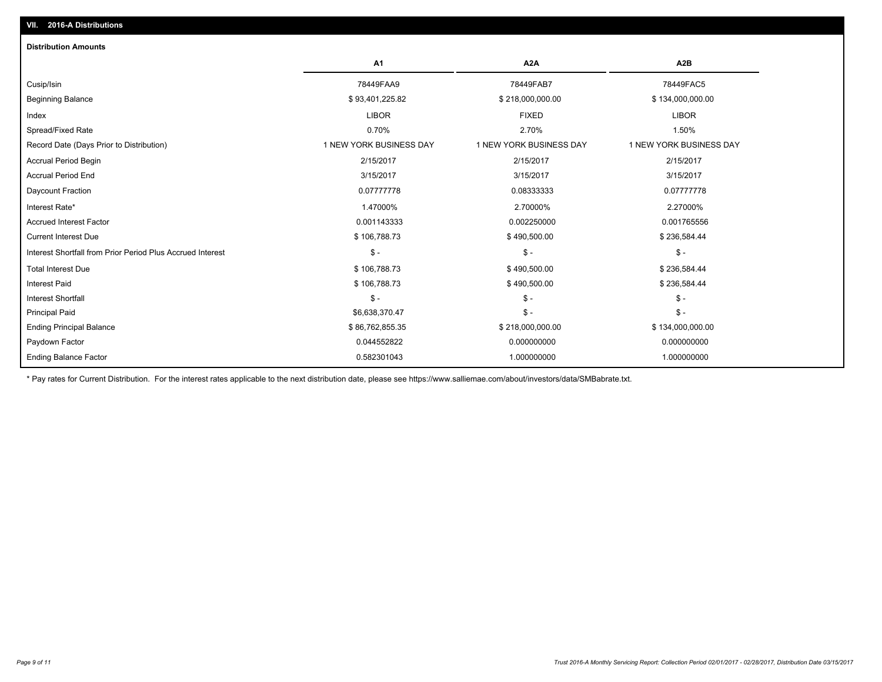| A <sub>1</sub><br>A <sub>2</sub> A<br>A <sub>2</sub> B<br>78449FAA9<br>78449FAB7<br>78449FAC5<br>Cusip/Isin<br><b>Beginning Balance</b><br>\$93,401,225.82<br>\$218,000,000.00<br>\$134,000,000.00<br><b>LIBOR</b><br><b>FIXED</b><br><b>LIBOR</b><br>Index<br>0.70%<br>Spread/Fixed Rate<br>2.70%<br>1.50%<br>Record Date (Days Prior to Distribution)<br>1 NEW YORK BUSINESS DAY<br>1 NEW YORK BUSINESS DAY<br>1 NEW YORK BUSINESS DAY<br>2/15/2017<br>2/15/2017<br><b>Accrual Period Begin</b><br>2/15/2017<br><b>Accrual Period End</b><br>3/15/2017<br>3/15/2017<br>3/15/2017<br>Daycount Fraction<br>0.07777778<br>0.07777778<br>0.08333333<br>1.47000%<br>2.70000%<br>Interest Rate*<br>2.27000%<br>0.001143333<br>0.002250000<br>0.001765556<br><b>Accrued Interest Factor</b> |
|----------------------------------------------------------------------------------------------------------------------------------------------------------------------------------------------------------------------------------------------------------------------------------------------------------------------------------------------------------------------------------------------------------------------------------------------------------------------------------------------------------------------------------------------------------------------------------------------------------------------------------------------------------------------------------------------------------------------------------------------------------------------------------------|
|                                                                                                                                                                                                                                                                                                                                                                                                                                                                                                                                                                                                                                                                                                                                                                                        |
|                                                                                                                                                                                                                                                                                                                                                                                                                                                                                                                                                                                                                                                                                                                                                                                        |
|                                                                                                                                                                                                                                                                                                                                                                                                                                                                                                                                                                                                                                                                                                                                                                                        |
|                                                                                                                                                                                                                                                                                                                                                                                                                                                                                                                                                                                                                                                                                                                                                                                        |
|                                                                                                                                                                                                                                                                                                                                                                                                                                                                                                                                                                                                                                                                                                                                                                                        |
|                                                                                                                                                                                                                                                                                                                                                                                                                                                                                                                                                                                                                                                                                                                                                                                        |
|                                                                                                                                                                                                                                                                                                                                                                                                                                                                                                                                                                                                                                                                                                                                                                                        |
|                                                                                                                                                                                                                                                                                                                                                                                                                                                                                                                                                                                                                                                                                                                                                                                        |
|                                                                                                                                                                                                                                                                                                                                                                                                                                                                                                                                                                                                                                                                                                                                                                                        |
|                                                                                                                                                                                                                                                                                                                                                                                                                                                                                                                                                                                                                                                                                                                                                                                        |
|                                                                                                                                                                                                                                                                                                                                                                                                                                                                                                                                                                                                                                                                                                                                                                                        |
| <b>Current Interest Due</b><br>\$106,788.73<br>\$490,500.00<br>\$236,584.44                                                                                                                                                                                                                                                                                                                                                                                                                                                                                                                                                                                                                                                                                                            |
| $\mathsf{\$}$ -<br>$\mathsf{\$}$ -<br>$\mathsf{\$}$ -<br>Interest Shortfall from Prior Period Plus Accrued Interest                                                                                                                                                                                                                                                                                                                                                                                                                                                                                                                                                                                                                                                                    |
| <b>Total Interest Due</b><br>\$106,788.73<br>\$490,500.00<br>\$236,584.44                                                                                                                                                                                                                                                                                                                                                                                                                                                                                                                                                                                                                                                                                                              |
| <b>Interest Paid</b><br>\$106,788.73<br>\$490,500.00<br>\$236,584.44                                                                                                                                                                                                                                                                                                                                                                                                                                                                                                                                                                                                                                                                                                                   |
| $\mathsf{\$}$ -<br><b>Interest Shortfall</b><br>$\mathsf{\$}$ -<br>$\mathsf{\$}$ -                                                                                                                                                                                                                                                                                                                                                                                                                                                                                                                                                                                                                                                                                                     |
| $\mathsf{\$}$ -<br>\$6,638,370.47<br>$\frac{2}{3}$ -<br><b>Principal Paid</b>                                                                                                                                                                                                                                                                                                                                                                                                                                                                                                                                                                                                                                                                                                          |
| <b>Ending Principal Balance</b><br>\$86,762,855.35<br>\$218,000,000.00<br>\$134,000,000.00                                                                                                                                                                                                                                                                                                                                                                                                                                                                                                                                                                                                                                                                                             |
| Paydown Factor<br>0.044552822<br>0.000000000<br>0.000000000                                                                                                                                                                                                                                                                                                                                                                                                                                                                                                                                                                                                                                                                                                                            |
| <b>Ending Balance Factor</b><br>0.582301043<br>1.000000000<br>1.000000000                                                                                                                                                                                                                                                                                                                                                                                                                                                                                                                                                                                                                                                                                                              |

\* Pay rates for Current Distribution. For the interest rates applicable to the next distribution date, please see https://www.salliemae.com/about/investors/data/SMBabrate.txt.

**VII. 2016-A Distributions**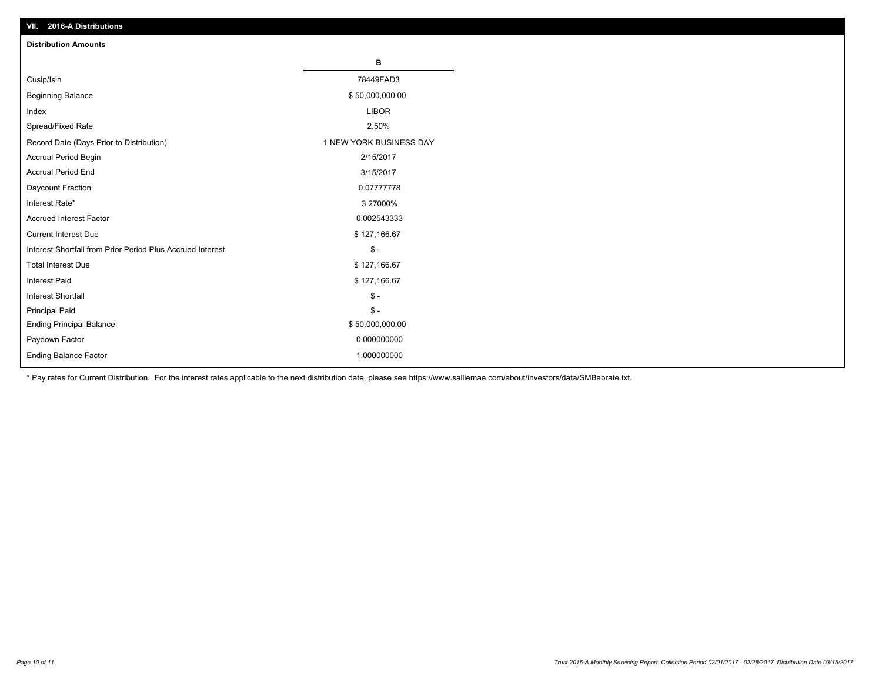| VII. 40 IV-A DISTINUTIONS                                  |                         |
|------------------------------------------------------------|-------------------------|
| <b>Distribution Amounts</b>                                |                         |
|                                                            | в                       |
| Cusip/Isin                                                 | 78449FAD3               |
| <b>Beginning Balance</b>                                   | \$50,000,000.00         |
| Index                                                      | <b>LIBOR</b>            |
| Spread/Fixed Rate                                          | 2.50%                   |
| Record Date (Days Prior to Distribution)                   | 1 NEW YORK BUSINESS DAY |
| Accrual Period Begin                                       | 2/15/2017               |
| <b>Accrual Period End</b>                                  | 3/15/2017               |
| Daycount Fraction                                          | 0.07777778              |
| Interest Rate*                                             | 3.27000%                |
| <b>Accrued Interest Factor</b>                             | 0.002543333             |
| <b>Current Interest Due</b>                                | \$127,166.67            |
| Interest Shortfall from Prior Period Plus Accrued Interest | $\mathsf{\$}$ -         |
| <b>Total Interest Due</b>                                  | \$127,166.67            |
| Interest Paid                                              | \$127,166.67            |
| <b>Interest Shortfall</b>                                  | $\mathsf{\$}$ -         |
| <b>Principal Paid</b>                                      | $\mathsf{\$}$ -         |
| <b>Ending Principal Balance</b>                            | \$50,000,000.00         |
| Paydown Factor                                             | 0.000000000             |
| <b>Ending Balance Factor</b>                               | 1.000000000             |

\* Pay rates for Current Distribution. For the interest rates applicable to the next distribution date, please see https://www.salliemae.com/about/investors/data/SMBabrate.txt.

**VII. 2016-A Distributions**